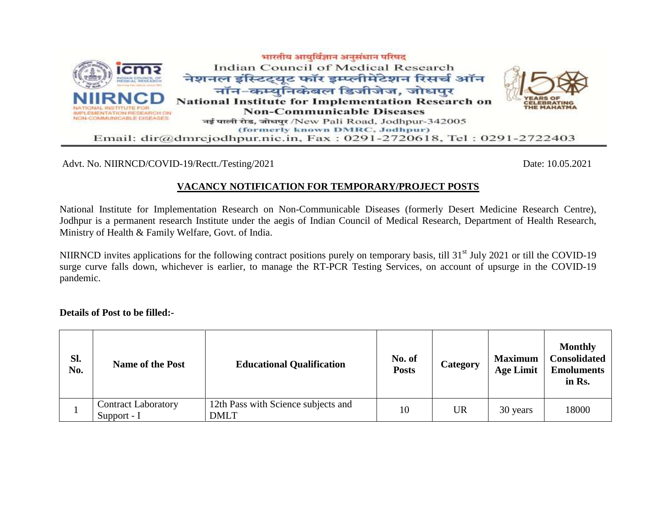

Advt. No. NIIRNCD/COVID-19/Rectt./Testing/2021 Date: 10.05.2021

# **VACANCY NOTIFICATION FOR TEMPORARY/PROJECT POSTS**

National Institute for Implementation Research on Non-Communicable Diseases (formerly Desert Medicine Research Centre), Jodhpur is a permanent research Institute under the aegis of Indian Council of Medical Research, Department of Health Research, Ministry of Health & Family Welfare, Govt. of India.

NIIRNCD invites applications for the following contract positions purely on temporary basis, till 31<sup>st</sup> July 2021 or till the COVID-19 surge curve falls down, whichever is earlier, to manage the RT-PCR Testing Services, on account of upsurge in the COVID-19 pandemic.

**Details of Post to be filled:-**

| SI.<br>No. | <b>Name of the Post</b>                   | <b>Educational Qualification</b>                   | No. of<br><b>Posts</b> | Category  | <b>Maximum</b><br><b>Age Limit</b> | <b>Monthly</b><br><b>Consolidated</b><br><b>Emoluments</b><br>in Rs. |
|------------|-------------------------------------------|----------------------------------------------------|------------------------|-----------|------------------------------------|----------------------------------------------------------------------|
|            | <b>Contract Laboratory</b><br>Support - I | 12th Pass with Science subjects and<br><b>DMLT</b> | 10                     | <b>UR</b> | 30 years                           | 18000                                                                |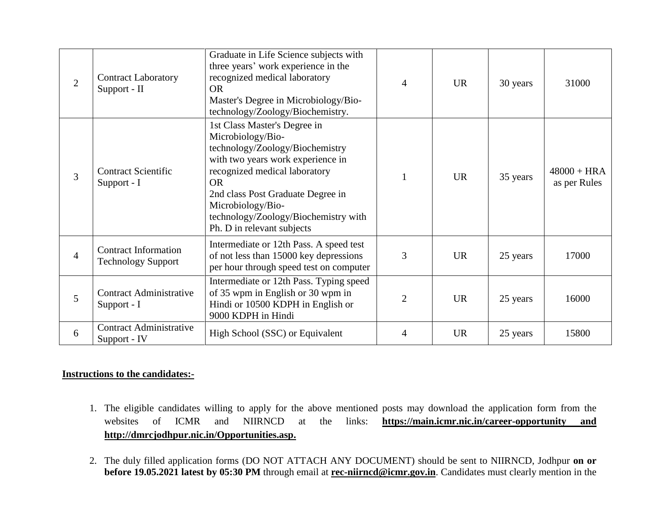| $\overline{2}$ | <b>Contract Laboratory</b><br>Support - II               | Graduate in Life Science subjects with<br>three years' work experience in the<br>recognized medical laboratory<br><b>OR</b><br>Master's Degree in Microbiology/Bio-<br>technology/Zoology/Biochemistry.                                                                                                 | $\overline{4}$ | <b>UR</b> | 30 years | 31000                         |
|----------------|----------------------------------------------------------|---------------------------------------------------------------------------------------------------------------------------------------------------------------------------------------------------------------------------------------------------------------------------------------------------------|----------------|-----------|----------|-------------------------------|
| 3              | <b>Contract Scientific</b><br>Support - I                | 1st Class Master's Degree in<br>Microbiology/Bio-<br>technology/Zoology/Biochemistry<br>with two years work experience in<br>recognized medical laboratory<br><b>OR</b><br>2nd class Post Graduate Degree in<br>Microbiology/Bio-<br>technology/Zoology/Biochemistry with<br>Ph. D in relevant subjects | $\mathbf{1}$   | <b>UR</b> | 35 years | $48000 + HRA$<br>as per Rules |
| $\overline{4}$ | <b>Contract Information</b><br><b>Technology Support</b> | Intermediate or 12th Pass. A speed test<br>of not less than 15000 key depressions<br>per hour through speed test on computer                                                                                                                                                                            | 3              | <b>UR</b> | 25 years | 17000                         |
| 5              | <b>Contract Administrative</b><br>Support - I            | Intermediate or 12th Pass. Typing speed<br>of 35 wpm in English or 30 wpm in<br>Hindi or 10500 KDPH in English or<br>9000 KDPH in Hindi                                                                                                                                                                 | $\overline{2}$ | <b>UR</b> | 25 years | 16000                         |
| 6              | <b>Contract Administrative</b><br>Support - IV           | High School (SSC) or Equivalent                                                                                                                                                                                                                                                                         | 4              | <b>UR</b> | 25 years | 15800                         |

## **Instructions to the candidates:-**

- 1. The eligible candidates willing to apply for the above mentioned posts may download the application form from the websites of ICMR and NIIRNCD at the links: **<https://main.icmr.nic.in/career-opportunity> and http://dmrcjodhpur.nic.in/Opportunities.asp.**
- 2. The duly filled application forms (DO NOT ATTACH ANY DOCUMENT) should be sent to NIIRNCD, Jodhpur **on or before 19.05.2021 latest by 05:30 PM** through email at **[rec-niirncd@i](mailto:rec-niirncd@)cmr.gov.in**. Candidates must clearly mention in the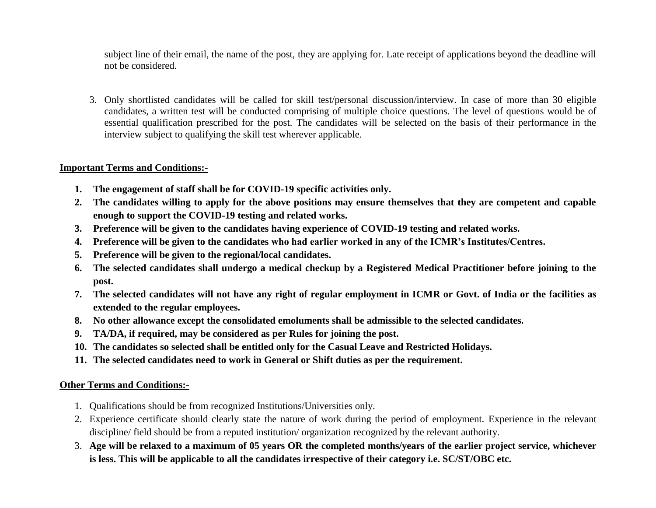subject line of their email, the name of the post, they are applying for. Late receipt of applications beyond the deadline will not be considered.

3. Only shortlisted candidates will be called for skill test/personal discussion/interview. In case of more than 30 eligible candidates, a written test will be conducted comprising of multiple choice questions. The level of questions would be of essential qualification prescribed for the post. The candidates will be selected on the basis of their performance in the interview subject to qualifying the skill test wherever applicable.

#### **Important Terms and Conditions:-**

- **1. The engagement of staff shall be for COVID-19 specific activities only.**
- **2. The candidates willing to apply for the above positions may ensure themselves that they are competent and capable enough to support the COVID-19 testing and related works.**
- **3. Preference will be given to the candidates having experience of COVID-19 testing and related works.**
- **4. Preference will be given to the candidates who had earlier worked in any of the ICMR's Institutes/Centres.**
- **5. Preference will be given to the regional/local candidates.**
- **6. The selected candidates shall undergo a medical checkup by a Registered Medical Practitioner before joining to the post.**
- **7. The selected candidates will not have any right of regular employment in ICMR or Govt. of India or the facilities as extended to the regular employees.**
- **8. No other allowance except the consolidated emoluments shall be admissible to the selected candidates.**
- **9. TA/DA, if required, may be considered as per Rules for joining the post.**
- **10. The candidates so selected shall be entitled only for the Casual Leave and Restricted Holidays.**
- **11. The selected candidates need to work in General or Shift duties as per the requirement.**

### **Other Terms and Conditions:-**

- 1. Qualifications should be from recognized Institutions/Universities only.
- 2. Experience certificate should clearly state the nature of work during the period of employment. Experience in the relevant discipline/ field should be from a reputed institution/ organization recognized by the relevant authority.
- 3. **Age will be relaxed to a maximum of 05 years OR the completed months/years of the earlier project service, whichever is less. This will be applicable to all the candidates irrespective of their category i.e. SC/ST/OBC etc.**